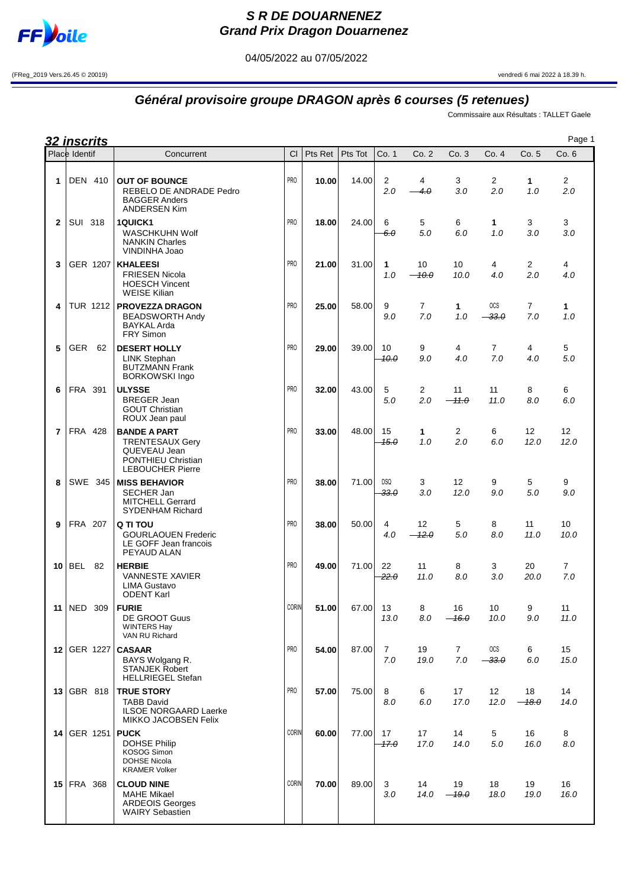

## **S R DE DOUARNENEZ Grand Prix Dragon Douarnenez**

04/05/2022 au 07/05/2022

(FReg\_2019 Vers.26.45 © 20019) vendredi 6 mai 2022 à 18.39 h.

## **Général provisoire groupe DRAGON après 6 courses (5 retenues)**

Commissaire aux Résultats : TALLET Gaele

|                | <u>32 inscrits</u> |                                                                                                                |                 |         |         |                       |                       |                         |                               |                           | Page 1                  |  |
|----------------|--------------------|----------------------------------------------------------------------------------------------------------------|-----------------|---------|---------|-----------------------|-----------------------|-------------------------|-------------------------------|---------------------------|-------------------------|--|
|                | Place Identif      | Concurrent                                                                                                     | <b>CI</b>       | Pts Ret | Pts Tot | Co. 1                 | Co. 2                 | Co.3                    | Co.4                          | Co. 5                     | Co.6                    |  |
| 1              | <b>DEN 410</b>     | <b>OUT OF BOUNCE</b><br>REBELO DE ANDRADE Pedro<br><b>BAGGER Anders</b><br><b>ANDERSEN Kim</b>                 | PR <sub>0</sub> | 10.00   | 14.00   | 2<br>2.0              | 4<br>4.0              | 3<br>3.0                | 2<br>2.0                      | 1<br>1.0                  | $\overline{2}$<br>2.0   |  |
| $\mathbf{2}$   | <b>SUI 318</b>     | <b>1QUICK1</b><br>WASCHKUHN Wolf<br><b>NANKIN Charles</b><br>VINDINHA Joao                                     | PR <sub>0</sub> | 18.00   | 24.00   | 6<br>6.0              | 5<br>5.0              | 6<br>6.0                | 1<br>1.0                      | 3<br>3.0                  | 3<br>3.0                |  |
| 3              | GER 1207           | <b>KHALEESI</b><br><b>FRIESEN Nicola</b><br><b>HOESCH Vincent</b><br><b>WEISE Kilian</b>                       | PR <sub>0</sub> | 21.00   | 31.00   | 1<br>1.0              | 10<br>$-10.0$         | 10<br>10.0              | 4<br>4.0                      | 2<br>2.0                  | 4<br>4.0                |  |
| 4              | TUR 1212           | <b>PROVEZZA DRAGON</b><br><b>BEADSWORTH Andy</b><br><b>BAYKAL Arda</b><br>FRY Simon                            | PR <sub>0</sub> | 25.00   | 58.00   | 9<br>9.0              | $\overline{7}$<br>7.0 | 1<br>1.0                | OCS<br>$-33.0$                | $\overline{7}$<br>7.0     | 1<br>1.0                |  |
| 5              | <b>GER</b><br>62   | <b>DESERT HOLLY</b><br>LINK Stephan<br><b>BUTZMANN Frank</b><br><b>BORKOWSKI Ingo</b>                          | PR <sub>0</sub> | 29.00   | 39.00   | 10<br>10.0            | 9<br>9.0              | 4<br>4.0                | $\overline{7}$<br>7.0         | 4<br>4.0                  | 5<br>5.0                |  |
| 6              | FRA 391            | <b>ULYSSE</b><br><b>BREGER Jean</b><br><b>GOUT Christian</b><br>ROUX Jean paul                                 | PR <sub>0</sub> | 32.00   | 43.00   | 5<br>5.0              | 2<br>2.0              | 11<br>$-11.0$           | 11<br>11.0                    | 8<br>8.0                  | 6<br>6.0                |  |
| $\overline{7}$ | <b>FRA 428</b>     | <b>BANDE A PART</b><br><b>TRENTESAUX Gery</b><br>QUEVEAU Jean<br>PONTHIEU Christian<br><b>LEBOUCHER Pierre</b> | PR <sub>0</sub> | 33.00   | 48.00   | 15<br>$-45.0$         | 1<br>1.0              | 2<br>2.0                | 6<br>6.0                      | $12 \overline{ }$<br>12.0 | 12 <sup>°</sup><br>12.0 |  |
| 8              | SWE 345            | <b>MISS BEHAVIOR</b><br><b>SECHER Jan</b><br><b>MITCHELL Gerrard</b><br><b>SYDENHAM Richard</b>                | PR <sub>0</sub> | 38.00   | 71.00   | <b>DSQ</b><br>$-33.0$ | 3<br>3.0              | 12 <sup>°</sup><br>12.0 | 9<br>9.0                      | 5<br>5.0                  | 9<br>9.0                |  |
| 9              | <b>FRA 207</b>     | Q TI TOU<br><b>GOURLAOUEN Frederic</b><br>LE GOFF Jean francois<br>PEYAUD ALAN                                 | PR <sub>0</sub> | 38.00   | 50.00   | 4<br>4.0              | 12<br>$-12.0$         | 5<br>5.0                | 8<br>8.0                      | 11<br>11.0                | 10<br>10.0              |  |
|                | $10$ BEL 82        | <b>HERBIE</b><br><b>VANNESTE XAVIER</b><br><b>LIMA Gustavo</b><br><b>ODENT Karl</b>                            | PR <sub>0</sub> | 49.00   | 71.00   | 22<br>22.0            | 11<br>11.0            | 8<br>8.0                | 3<br>3.0                      | 20<br>20.0                | 7<br>7.0                |  |
| 11             | NED 309            | <b>FURIE</b><br><b>DE GROOT Guus</b><br><b>WINTERS Hay</b><br>VAN RU Richard                                   | <b>CORIN</b>    | 51.00   | 67.00   | 13<br>13.0            | 8<br>8.0              | 16<br>$-16.0$           | 10<br>10.0                    | 9<br>9.0                  | 11<br>11.0              |  |
|                | 12 GER 1227        | <b>CASAAR</b><br>BAYS Wolgang R.<br><b>STANJEK Robert</b><br><b>HELLRIEGEL Stefan</b>                          | PR <sub>0</sub> | 54.00   | 87.00   | 7<br>7.0              | 19<br>19.0            | 7<br>7.0                | <b>OCS</b><br><del>33.0</del> | 6<br>6.0                  | 15<br>15.0              |  |
| 13             | GBR 818            | <b>TRUE STORY</b><br><b>TABB David</b><br><b>ILSOE NORGAARD Laerke</b><br><b>MIKKO JACOBSEN Felix</b>          | PR <sub>0</sub> | 57.00   | 75.00   | 8<br>8.0              | 6<br>6.0              | 17<br>17.0              | 12 <sup>°</sup><br>12.0       | 18<br>$-48.0$             | 14<br>14.0              |  |
| 14             | GER 1251           | <b>PUCK</b><br><b>DOHSE Philip</b><br>KOSOG Simon<br><b>DOHSE Nicola</b><br><b>KRAMER Volker</b>               | <b>CORIN</b>    | 60.00   | 77.00   | 17<br>17.0            | 17<br>17.0            | 14<br>14.0              | 5<br>5.0                      | 16<br>16.0                | 8<br>8.0                |  |
|                | 15 $ FRA$<br>368   | <b>CLOUD NINE</b><br><b>MAHE Mikael</b><br><b>ARDEOIS Georges</b><br><b>WAIRY Sebastien</b>                    | <b>CORIN</b>    | 70.00   | 89.00   | 3<br>3.0              | 14<br>14.0            | 19<br>$-19.0$           | 18<br>18.0                    | 19<br>19.0                | 16<br>16.0              |  |